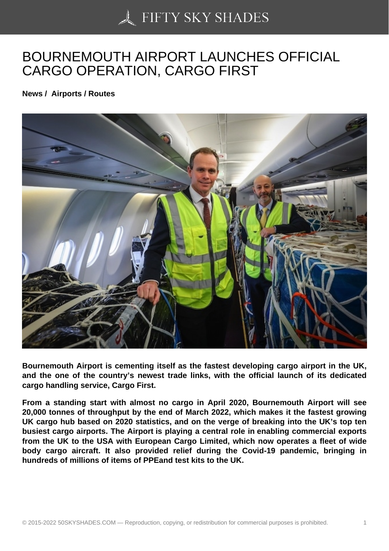## [BOURNEMOUTH AIRP](https://50skyshades.com)ORT LAUNCHES OFFICIAL CARGO OPERATION, CARGO FIRST

News / Airports / Routes

Bournemouth Airport is cementing itself as the fastest developing cargo airport in the UK, and the one of the country's newest trade links, with the official launch of its dedicated cargo handling service, Cargo First.

From a standing start with almost no cargo in April 2020, Bournemouth Airport will see 20,000 tonnes of throughput by the end of March 2022, which makes it the fastest growing UK cargo hub based on 2020 statistics, and on the verge of breaking into the UK's top ten busiest cargo airports. The Airport is playing a central role in enabling commercial exports from the UK to the USA with European Cargo Limited, which now operates a fleet of wide body cargo aircraft. It also provided relief during the Covid-19 pandemic, bringing in hundreds of millions of items of PPEand test kits to the UK.